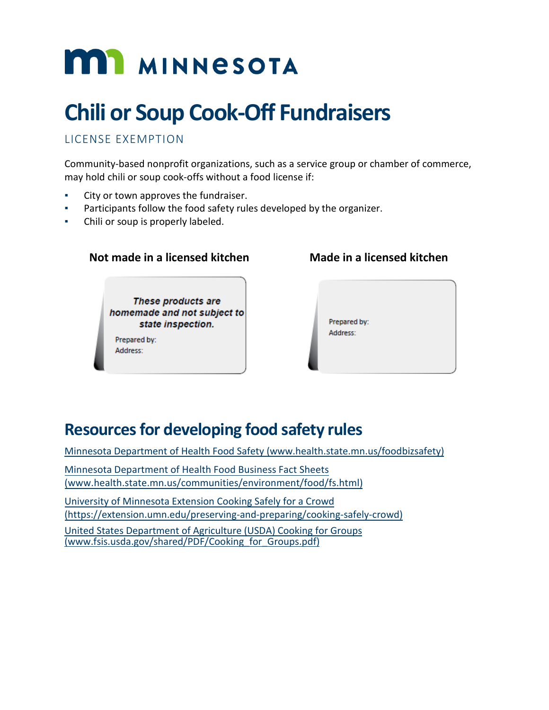# **MIT MINNESOTA**

# **Chili or Soup Cook-Off Fundraisers**

# LICENSE EXEMPTION

Community-based nonprofit organizations, such as a service group or chamber of commerce, may hold chili or soup cook-offs without a food license if:

- City or town approves the fundraiser.
- Participants follow the food safety rules developed by the organizer.
- Chili or soup is properly labeled.

#### **Not made in a licensed kitchen Made in a licensed kitchen**

These products are homemade and not subject to state inspection.

Prepared by: Address:

Prepared by: Address:

# **Resources for developing food safety rules**

[Minnesota Department of Health Food Safety \(www.health.state.mn.us/foodbizsafety\)](http://www.health.state.mn.us/foodbizsafety)

[Minnesota Department of Health Food Business](http://www.health.state.mn.us/communities/environment/food/fs.html) Fact Sheets (www.health.state.mn.us/[communities/environment](http://www.health.state.mn.us/communities/environment/food/fs.html)/food/fs.html)

University of [Minnesota Extension Cooking Safely for](https://extension.umn.edu/preserving-and-preparing/cooking-safely-crowd) a Crowd [\(https://extension.umn.edu/preserving-and-preparing/cooking-safely-crowd\)](https://extension.umn.edu/preserving-and-preparing/cooking-safely-crowd)

[United States Department of Agriculture \(USDA\) Cooking for Groups](https://www.fsis.usda.gov/shared/PDF/Cooking_for_Groups.pdf)  [\(www.fsis.usda.gov/shared/PDF/Cooking\\_for\\_Groups.pdf\)](https://www.fsis.usda.gov/shared/PDF/Cooking_for_Groups.pdf)